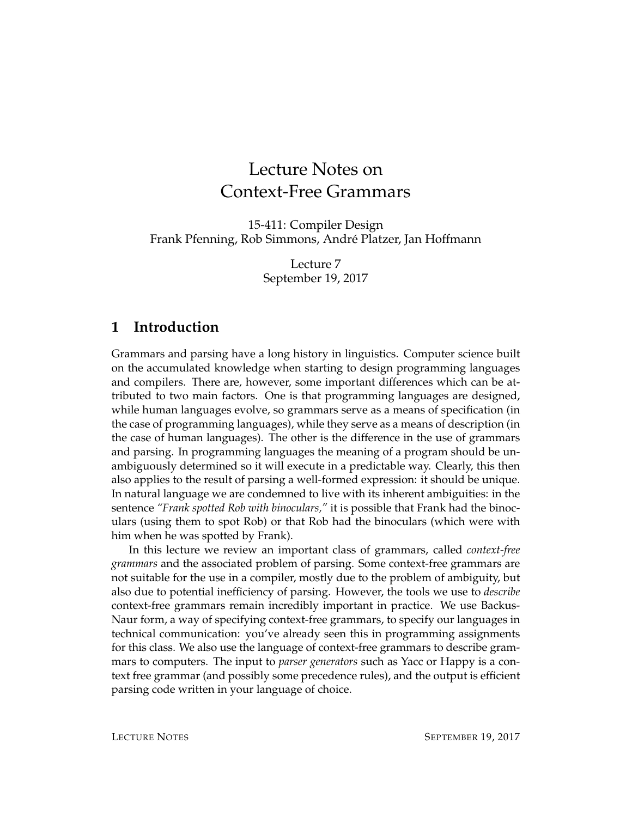# Lecture Notes on Context-Free Grammars

15-411: Compiler Design Frank Pfenning, Rob Simmons, Andre Platzer, Jan Hoffmann ´

> Lecture 7 September 19, 2017

#### **1 Introduction**

Grammars and parsing have a long history in linguistics. Computer science built on the accumulated knowledge when starting to design programming languages and compilers. There are, however, some important differences which can be attributed to two main factors. One is that programming languages are designed, while human languages evolve, so grammars serve as a means of specification (in the case of programming languages), while they serve as a means of description (in the case of human languages). The other is the difference in the use of grammars and parsing. In programming languages the meaning of a program should be unambiguously determined so it will execute in a predictable way. Clearly, this then also applies to the result of parsing a well-formed expression: it should be unique. In natural language we are condemned to live with its inherent ambiguities: in the sentence *"Frank spotted Rob with binoculars,"* it is possible that Frank had the binoculars (using them to spot Rob) or that Rob had the binoculars (which were with him when he was spotted by Frank).

In this lecture we review an important class of grammars, called *context-free grammars* and the associated problem of parsing. Some context-free grammars are not suitable for the use in a compiler, mostly due to the problem of ambiguity, but also due to potential inefficiency of parsing. However, the tools we use to *describe* context-free grammars remain incredibly important in practice. We use Backus-Naur form, a way of specifying context-free grammars, to specify our languages in technical communication: you've already seen this in programming assignments for this class. We also use the language of context-free grammars to describe grammars to computers. The input to *parser generators* such as Yacc or Happy is a context free grammar (and possibly some precedence rules), and the output is efficient parsing code written in your language of choice.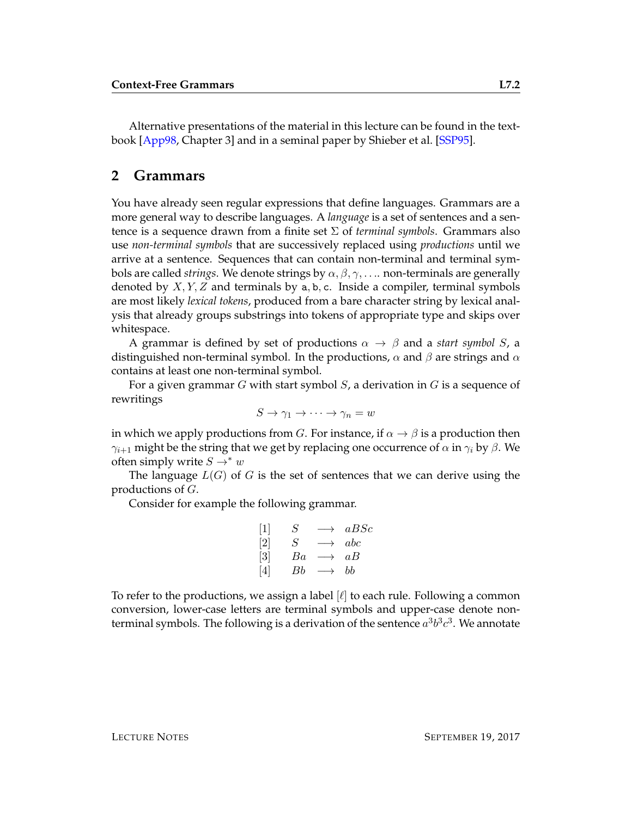Alternative presentations of the material in this lecture can be found in the textbook [\[App98,](#page-11-0) Chapter 3] and in a seminal paper by Shieber et al. [\[SSP95\]](#page-11-1).

#### **2 Grammars**

You have already seen regular expressions that define languages. Grammars are a more general way to describe languages. A *language* is a set of sentences and a sentence is a sequence drawn from a finite set Σ of *terminal symbols*. Grammars also use *non-terminal symbols* that are successively replaced using *productions* until we arrive at a sentence. Sequences that can contain non-terminal and terminal symbols are called *strings*. We denote strings by  $\alpha, \beta, \gamma, \ldots$  non-terminals are generally denoted by  $X, Y, Z$  and terminals by a, b, c. Inside a compiler, terminal symbols are most likely *lexical tokens*, produced from a bare character string by lexical analysis that already groups substrings into tokens of appropriate type and skips over whitespace.

A grammar is defined by set of productions  $\alpha \to \beta$  and a *start symbol S*, a distinguished non-terminal symbol. In the productions,  $\alpha$  and  $\beta$  are strings and  $\alpha$ contains at least one non-terminal symbol.

For a given grammar  $G$  with start symbol  $S$ , a derivation in  $G$  is a sequence of rewritings

$$
S \to \gamma_1 \to \cdots \to \gamma_n = w
$$

in which we apply productions from G. For instance, if  $\alpha \rightarrow \beta$  is a production then  $\gamma_{i+1}$  might be the string that we get by replacing one occurrence of  $\alpha$  in  $\gamma_i$  by  $\beta$ . We often simply write  $S \rightarrow^* w$ 

The language  $L(G)$  of G is the set of sentences that we can derive using the productions of G.

Consider for example the following grammar.

$$
\begin{array}{ccc}\n[1] & S & \longrightarrow & aBSc \\
[2] & S & \longrightarrow & abc \\
[3] & Ba & \longrightarrow & aB \\
[4] & Bb & \longrightarrow & bb\n\end{array}
$$

To refer to the productions, we assign a label  $|\ell|$  to each rule. Following a common conversion, lower-case letters are terminal symbols and upper-case denote nonterminal symbols. The following is a derivation of the sentence  $a^3b^3c^3$ . We annotate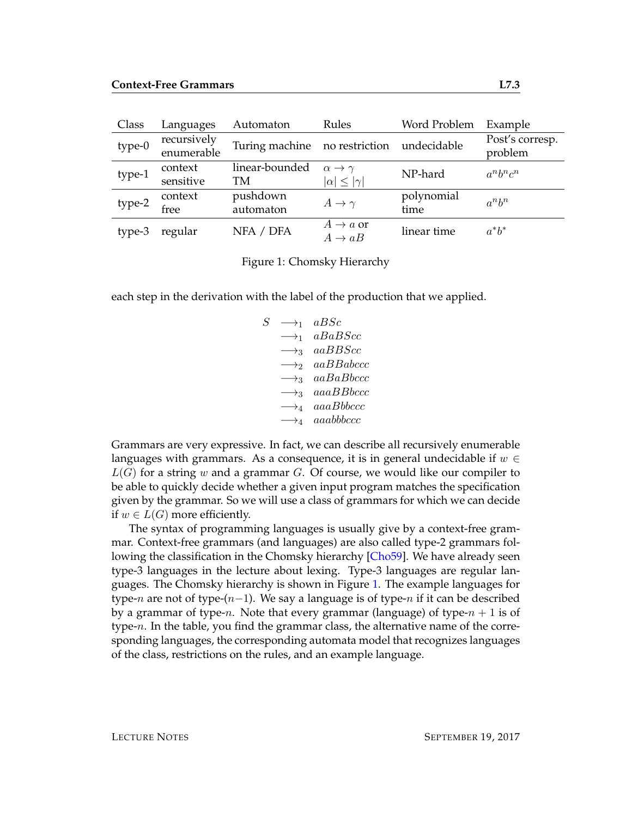| Class  | Languages                 | Automaton                     | Rules                       | Word Problem | Example                    |
|--------|---------------------------|-------------------------------|-----------------------------|--------------|----------------------------|
| type-0 | recursively<br>enumerable | Turing machine no restriction |                             | undecidable  | Post's corresp.<br>problem |
|        |                           |                               |                             |              |                            |
| type-1 | context                   | linear-bounded                | $\alpha \rightarrow \gamma$ | NP-hard      | $a^n b^n c^n$              |
|        | sensitive                 | TМ                            | $ \alpha  \leq  \gamma $    |              |                            |
| type-2 | context                   | pushdown                      | $A \rightarrow \gamma$      | polynomial   | $a^n b^n$                  |
|        | free                      | automaton                     |                             | time         |                            |
| type-3 | regular                   | NFA / DFA                     | $A \rightarrow a$ or        | linear time  | $a^*b^*$                   |
|        |                           |                               | $A \rightarrow aB$          |              |                            |

<span id="page-2-0"></span>Figure 1: Chomsky Hierarchy

each step in the derivation with the label of the production that we applied.

 $S \rightarrow_1 \text{a} BSc$  $\longrightarrow_1$  aBaBScc  $\longrightarrow_3$  aaBBScc  $\longrightarrow$ <sub>2</sub> aaBBabccc  $\longrightarrow$ <sub>3</sub> aaBaBbccc</sub>  $\longrightarrow$ <sub>3</sub> aaaBBbccc</sub>  $\longrightarrow_4$  aaaBbbccc  $\longrightarrow_4$  aaabbbccc

Grammars are very expressive. In fact, we can describe all recursively enumerable languages with grammars. As a consequence, it is in general undecidable if  $w \in$  $L(G)$  for a string w and a grammar G. Of course, we would like our compiler to be able to quickly decide whether a given input program matches the specification given by the grammar. So we will use a class of grammars for which we can decide if  $w \in L(G)$  more efficiently.

The syntax of programming languages is usually give by a context-free grammar. Context-free grammars (and languages) are also called type-2 grammars following the classification in the Chomsky hierarchy [\[Cho59\]](#page-11-2). We have already seen type-3 languages in the lecture about lexing. Type-3 languages are regular languages. The Chomsky hierarchy is shown in Figure [1.](#page-2-0) The example languages for type-n are not of type- $(n-1)$ . We say a language is of type-n if it can be described by a grammar of type-n. Note that every grammar (language) of type- $n + 1$  is of type- $n$ . In the table, you find the grammar class, the alternative name of the corresponding languages, the corresponding automata model that recognizes languages of the class, restrictions on the rules, and an example language.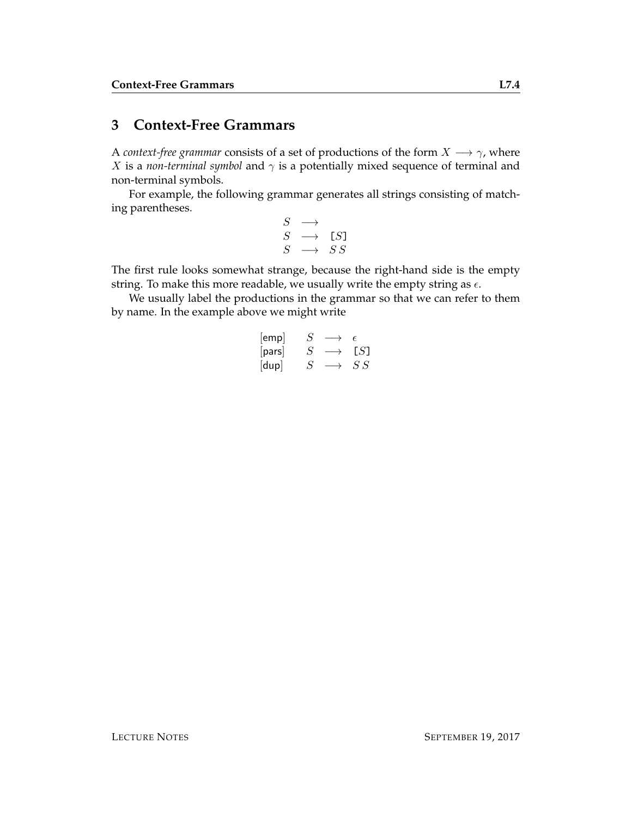### <span id="page-3-0"></span>**3 Context-Free Grammars**

A *context-free grammar* consists of a set of productions of the form  $X \longrightarrow \gamma$ , where *X* is a *non-terminal symbol* and  $\gamma$  is a potentially mixed sequence of terminal and non-terminal symbols.

For example, the following grammar generates all strings consisting of matching parentheses.

| $\mathcal{S}$ |                   |     |
|---------------|-------------------|-----|
| S             | $\longrightarrow$ | LS] |
| $S_{\cdot}$   | $\longrightarrow$ | S S |

The first rule looks somewhat strange, because the right-hand side is the empty string. To make this more readable, we usually write the empty string as  $\epsilon$ .

We usually label the productions in the grammar so that we can refer to them by name. In the example above we might write

$$
\begin{array}{ccc}\n[\text{emp}] & S & \longrightarrow & \epsilon \\
[\text{pars}] & S & \longrightarrow & [S] \\
[\text{dup}] & S & \longrightarrow & SS\n\end{array}
$$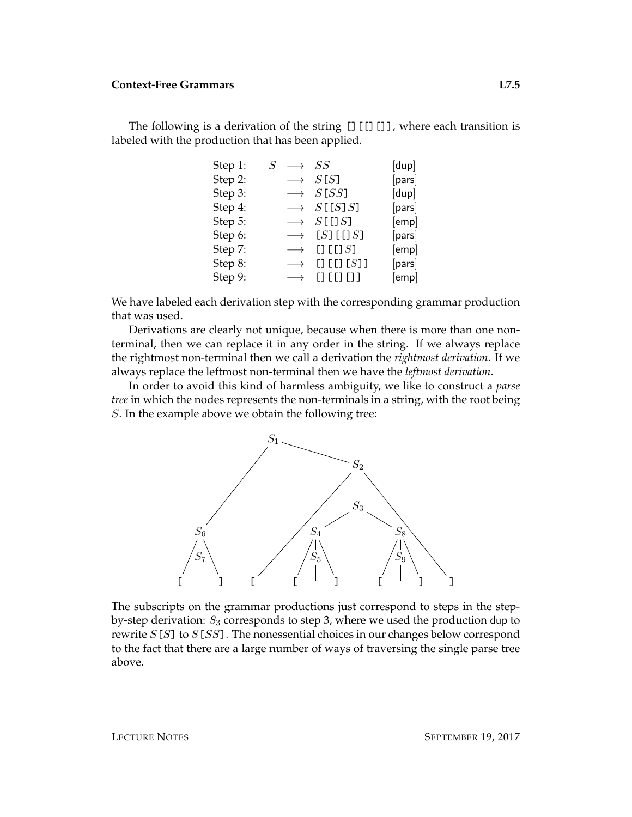The following is a derivation of the string  $[]$ [[][]], where each transition is labeled with the production that has been applied.

| Step 1: | $S \rightarrow SS$ |                               | [dup]                  |
|---------|--------------------|-------------------------------|------------------------|
| Step 2: |                    | $\longrightarrow$ S[S]        | $\lceil$ pars $\rceil$ |
| Step 3: |                    | $\longrightarrow$ S[SS]       | [dup]                  |
| Step 4: |                    | $\longrightarrow S[[S]S]$     | [pars]                 |
| Step 5: |                    | $\longrightarrow S[[S]$       | [emp]                  |
| Step 6: |                    | $\longrightarrow$ [S] [[] S]  | [pars]                 |
| Step 7: |                    | $\longrightarrow$ [] [[] S]   | [emp]                  |
| Step 8: |                    | $\longrightarrow$ [] [[] [S]] | [pars]                 |
| Step 9: | $\longrightarrow$  | $[]$ $[]$ $[]$ $[]$           | [emp]                  |

We have labeled each derivation step with the corresponding grammar production that was used.

Derivations are clearly not unique, because when there is more than one nonterminal, then we can replace it in any order in the string. If we always replace the rightmost non-terminal then we call a derivation the *rightmost derivation*. If we always replace the leftmost non-terminal then we have the *leftmost derivation*.

In order to avoid this kind of harmless ambiguity, we like to construct a *parse tree* in which the nodes represents the non-terminals in a string, with the root being S. In the example above we obtain the following tree:



The subscripts on the grammar productions just correspond to steps in the stepby-step derivation:  $S_3$  corresponds to step 3, where we used the production dup to rewrite  $S[S]$  to  $S[SS]$ . The nonessential choices in our changes below correspond to the fact that there are a large number of ways of traversing the single parse tree above.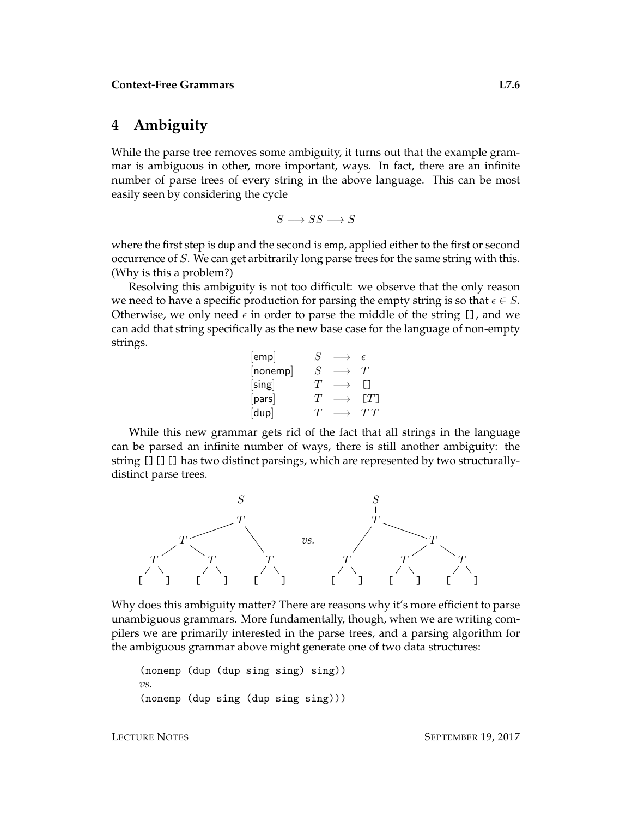## **4 Ambiguity**

While the parse tree removes some ambiguity, it turns out that the example grammar is ambiguous in other, more important, ways. In fact, there are an infinite number of parse trees of every string in the above language. This can be most easily seen by considering the cycle

$$
S \longrightarrow SS \longrightarrow S
$$

where the first step is dup and the second is emp, applied either to the first or second occurrence of S. We can get arbitrarily long parse trees for the same string with this. (Why is this a problem?)

Resolving this ambiguity is not too difficult: we observe that the only reason we need to have a specific production for parsing the empty string is so that  $\epsilon \in S$ . Otherwise, we only need  $\epsilon$  in order to parse the middle of the string [], and we can add that string specifically as the new base case for the language of non-empty strings.

| [emp]  | S                     | F     |
|--------|-----------------------|-------|
| nonemp | S                     | 'T    |
| [sing] | $^{\prime}I^{\prime}$ |       |
| [pars] | $^{\prime}I^{\prime}$ | [T]   |
| [dup]  | ΄ Γ                   | 7 T T |

While this new grammar gets rid of the fact that all strings in the language can be parsed an infinite number of ways, there is still another ambiguity: the string [][][] has two distinct parsings, which are represented by two structurallydistinct parse trees.



Why does this ambiguity matter? There are reasons why it's more efficient to parse unambiguous grammars. More fundamentally, though, when we are writing compilers we are primarily interested in the parse trees, and a parsing algorithm for the ambiguous grammar above might generate one of two data structures:

```
(nonemp (dup (dup sing sing) sing))
vs.
(nonemp (dup sing (dup sing sing)))
```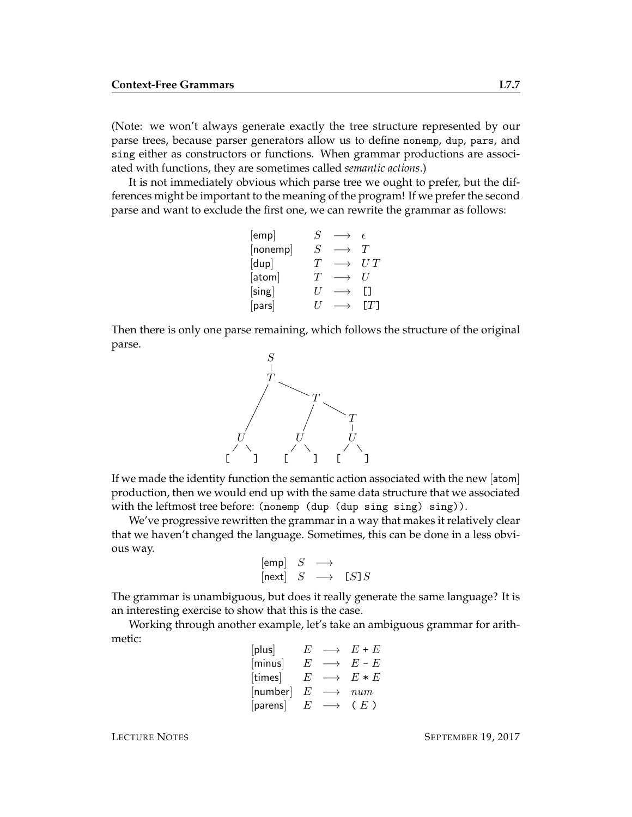(Note: we won't always generate exactly the tree structure represented by our parse trees, because parser generators allow us to define nonemp, dup, pars, and sing either as constructors or functions. When grammar productions are associated with functions, they are sometimes called *semantic actions*.)

It is not immediately obvious which parse tree we ought to prefer, but the differences might be important to the meaning of the program! If we prefer the second parse and want to exclude the first one, we can rewrite the grammar as follows:

| [emp]    | $\mathcal{S}_{0}$     | F                     |
|----------|-----------------------|-----------------------|
| [nonemp] | S                     | $^{\prime}I^{\prime}$ |
| [dup]    | T                     | U T                   |
| [atom]   | $^{\prime}I^{\prime}$ | $\prime$              |
| [sing]   | $\prime$              |                       |
| [pars]   |                       |                       |

Then there is only one parse remaining, which follows the structure of the original parse.



If we made the identity function the semantic action associated with the new [atom] production, then we would end up with the same data structure that we associated with the leftmost tree before: (nonemp (dup (dup sing sing) sing)).

We've progressive rewritten the grammar in a way that makes it relatively clear that we haven't changed the language. Sometimes, this can be done in a less obvious way.

$$
\begin{array}{ccc}\n[{\sf emp}] & S & \longrightarrow \\
[{\sf next}] & S & \longrightarrow & [S]S\n\end{array}
$$

The grammar is unambiguous, but does it really generate the same language? It is an interesting exercise to show that this is the case.

Working through another example, let's take an ambiguous grammar for arithmetic:

| [plus]   | F       | $\longrightarrow$ | $E + E$   |
|----------|---------|-------------------|-----------|
| [minus]  | E       | $\longrightarrow$ | $E$ - $E$ |
| [times]  | E       | $\longrightarrow$ | $E * E$   |
| [number] | E       |                   | num       |
| [parens] | $F_{i}$ | $\longrightarrow$ | (E)       |

LECTURE NOTES SEPTEMBER 19, 2017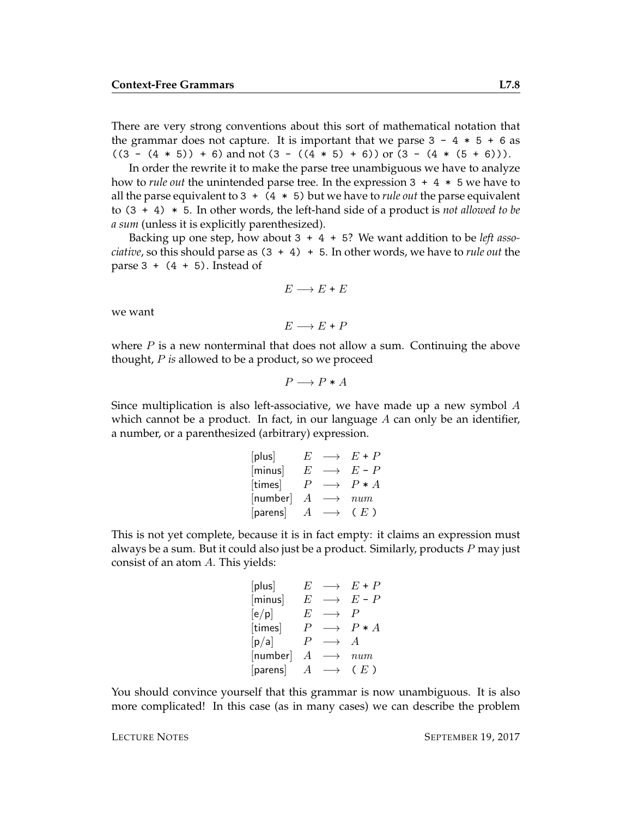There are very strong conventions about this sort of mathematical notation that the grammar does not capture. It is important that we parse  $3 - 4 * 5 + 6$  as  $((3 - (4 * 5)) + 6)$  and not  $(3 - ((4 * 5) + 6))$  or  $(3 - (4 * (5 + 6)))$ .

In order the rewrite it to make the parse tree unambiguous we have to analyze how to *rule out* the unintended parse tree. In the expression 3 + 4 \* 5 we have to all the parse equivalent to 3 + (4 \* 5) but we have to *rule out* the parse equivalent to (3 + 4) \* 5. In other words, the left-hand side of a product is *not allowed to be a sum* (unless it is explicitly parenthesized).

Backing up one step, how about 3 + 4 + 5? We want addition to be *left associative*, so this should parse as (3 + 4) + 5. In other words, we have to *rule out* the parse  $3 + (4 + 5)$ . Instead of

$$
E\longrightarrow E+E
$$

we want

 $E \longrightarrow E + P$ 

where  $P$  is a new nonterminal that does not allow a sum. Continuing the above thought, P *is* allowed to be a product, so we proceed

 $P \longrightarrow P * A$ 

Since multiplication is also left-associative, we have made up a new symbol  $A$ which cannot be a product. In fact, in our language  $A$  can only be an identifier, a number, or a parenthesized (arbitrary) expression.

| [plus]   | F                | $\longrightarrow$ | $E + P$ |
|----------|------------------|-------------------|---------|
| [minus]  | E                | $\longrightarrow$ | $E - P$ |
| [times]  | P                |                   | $P * A$ |
| [number] | А                |                   | num     |
| [parens] | $\boldsymbol{A}$ | $\longrightarrow$ | (E)     |

This is not yet complete, because it is in fact empty: it claims an expression must always be a sum. But it could also just be a product. Similarly, products  $P$  may just consist of an atom A. This yields:

$$
\begin{array}{llll}\n[\text{plus}] & E & \longrightarrow & E + P \\
[\text{minus}] & E & \longrightarrow & E - P \\
[\text{e/p}] & E & \longrightarrow & P \\
[\text{times}] & P & \longrightarrow & P \ast A \\
[\text{p/a}] & P & \longrightarrow & A \\
[\text{number}] & A & \longrightarrow & num \\
[\text{parents}] & A & \longrightarrow & (E)\n\end{array}
$$

You should convince yourself that this grammar is now unambiguous. It is also more complicated! In this case (as in many cases) we can describe the problem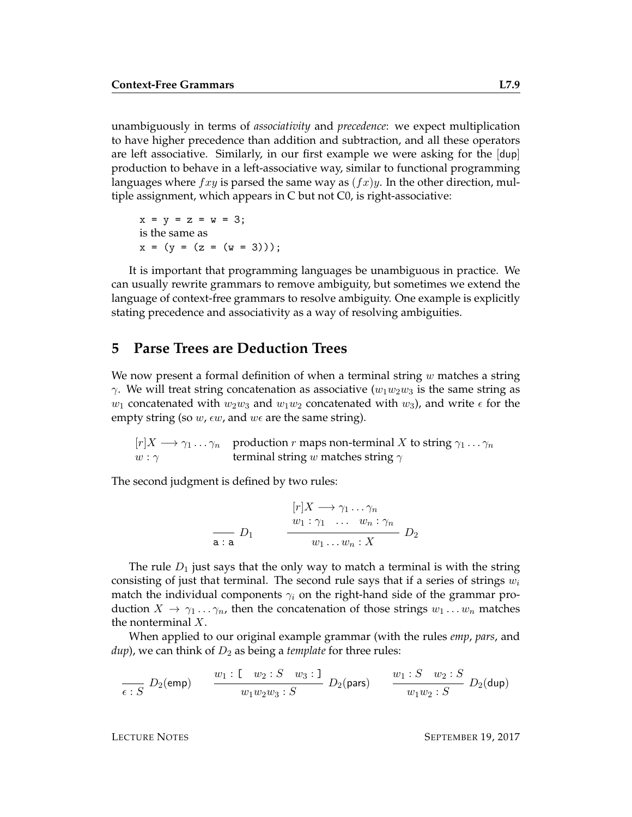unambiguously in terms of *associativity* and *precedence*: we expect multiplication to have higher precedence than addition and subtraction, and all these operators are left associative. Similarly, in our first example we were asking for the [dup] production to behave in a left-associative way, similar to functional programming languages where  $fxy$  is parsed the same way as  $(fx)y$ . In the other direction, multiple assignment, which appears in C but not C0, is right-associative:

 $x = y = z = w = 3;$ is the same as  $x = (y = (z = (w = 3)));$ 

It is important that programming languages be unambiguous in practice. We can usually rewrite grammars to remove ambiguity, but sometimes we extend the language of context-free grammars to resolve ambiguity. One example is explicitly stating precedence and associativity as a way of resolving ambiguities.

#### **5 Parse Trees are Deduction Trees**

We now present a formal definition of when a terminal string  $w$  matches a string  $\gamma$ . We will treat string concatenation as associative ( $w_1w_2w_3$  is the same string as  $w_1$  concatenated with  $w_2w_3$  and  $w_1w_2$  concatenated with  $w_3$ ), and write  $\epsilon$  for the empty string (so  $w$ ,  $\epsilon w$ , and  $w\epsilon$  are the same string).

 $[r]X \longrightarrow \gamma_1 \dots \gamma_n$  production r maps non-terminal X to string  $\gamma_1 \dots \gamma_n$  $w : \gamma$  terminal string w matches string  $\gamma$ 

The second judgment is defined by two rules:

$$
\frac{[r]X \to \gamma_1 \dots \gamma_n}{w_1 : \gamma_1 \dots w_n : \gamma_n}
$$
\n
$$
\frac{w_1 : \gamma_1 \dots w_n : \gamma_n}{w_1 \dots w_n : X} D_2
$$

The rule  $D_1$  just says that the only way to match a terminal is with the string consisting of just that terminal. The second rule says that if a series of strings  $w_i$ match the individual components  $\gamma_i$  on the right-hand side of the grammar production  $X \to \gamma_1 \dots \gamma_n$ , then the concatenation of those strings  $w_1 \dots w_n$  matches the nonterminal  $X$ .

When applied to our original example grammar (with the rules *emp*, *pars*, and  $\langle \textit{dup} \rangle$ , we can think of  $D_2$  as being a *template* for three rules:

$$
\frac{w_1: \mathsf{E} \cdot S}{\epsilon: S} \ D_2(\mathsf{emp}) \qquad \frac{w_1: \mathsf{E} \cdot w_2: S \cdot w_3: \mathsf{I}}{w_1 w_2 w_3: S} \ D_2(\mathsf{pars}) \qquad \frac{w_1: S \cdot w_2: S}{w_1 w_2: S} \ D_2(\mathsf{dup})
$$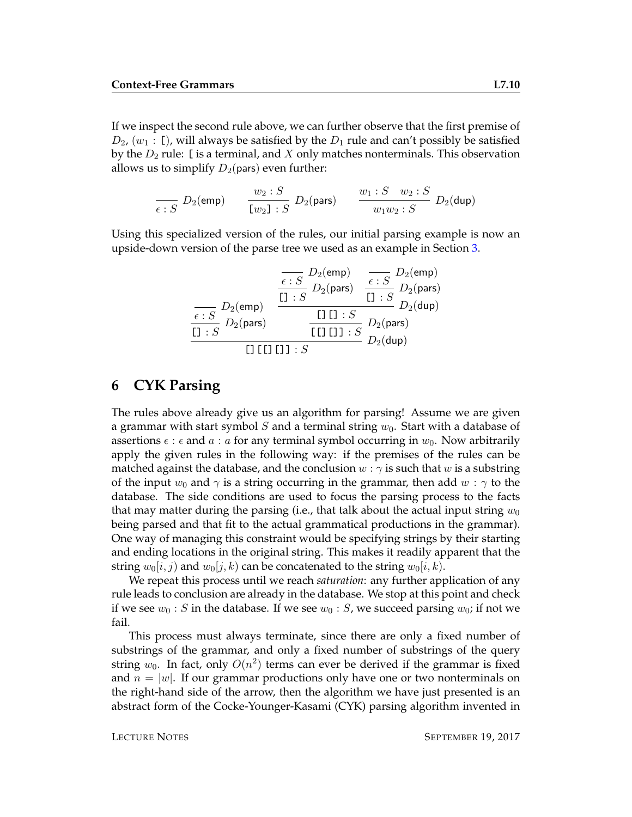If we inspect the second rule above, we can further observe that the first premise of  $D_2$ ,  $(w_1 : \mathbb{I})$ , will always be satisfied by the  $D_1$  rule and can't possibly be satisfied by the  $D_2$  rule: [is a terminal, and X only matches nonterminals. This observation allows us to simplify  $D_2$ (pars) even further:

$$
\frac{w_2 : S}{\epsilon : S} \ D_2(\text{emp}) \qquad \frac{w_2 : S}{[w_2] : S} \ D_2(\text{pars}) \qquad \frac{w_1 : S \quad w_2 : S}{w_1 w_2 : S} \ D_2(\text{dup})
$$

Using this specialized version of the rules, our initial parsing example is now an upside-down version of the parse tree we used as an example in Section [3.](#page-3-0)

$$
\begin{array}{c|c}\n\hline\n & D_2(\text{emp}) & \overline{\epsilon : S} & D_2(\text{emp}) \\
\hline\n\text{f1}:S & D_2(\text{pars}) & \overline{\epsilon : S} & D_2(\text{pars}) \\
\hline\n\text{f2}:S & D_2(\text{pars}) & \overline{\epsilon : S} & D_2(\text{bars}) \\
\hline\n\text{f3}:S & D_2(\text{pars}) & \overline{\epsilon : S} & D_2(\text{pars}) \\
\hline\n\text{f4}:S & D_2(\text{pars}) & D_2(\text{dup}) \\
\hline\n\text{f5}:S & D_2(\text{dup}) & D_2(\text{dup}) \\
\hline\n\end{array}
$$

### **6 CYK Parsing**

The rules above already give us an algorithm for parsing! Assume we are given a grammar with start symbol S and a terminal string  $w_0$ . Start with a database of assertions  $\epsilon : \epsilon$  and  $\alpha : \alpha$  for any terminal symbol occurring in  $w_0$ . Now arbitrarily apply the given rules in the following way: if the premises of the rules can be matched against the database, and the conclusion  $w : \gamma$  is such that w is a substring of the input  $w_0$  and  $\gamma$  is a string occurring in the grammar, then add  $w : \gamma$  to the database. The side conditions are used to focus the parsing process to the facts that may matter during the parsing (i.e., that talk about the actual input string  $w_0$ being parsed and that fit to the actual grammatical productions in the grammar). One way of managing this constraint would be specifying strings by their starting and ending locations in the original string. This makes it readily apparent that the string  $w_0[i, j)$  and  $w_0[j, k)$  can be concatenated to the string  $w_0[i, k)$ .

We repeat this process until we reach *saturation*: any further application of any rule leads to conclusion are already in the database. We stop at this point and check if we see  $w_0$ : S in the database. If we see  $w_0$ : S, we succeed parsing  $w_0$ ; if not we fail.

This process must always terminate, since there are only a fixed number of substrings of the grammar, and only a fixed number of substrings of the query string  $w_0$ . In fact, only  $O(n^2)$  terms can ever be derived if the grammar is fixed and  $n = |w|$ . If our grammar productions only have one or two nonterminals on the right-hand side of the arrow, then the algorithm we have just presented is an abstract form of the Cocke-Younger-Kasami (CYK) parsing algorithm invented in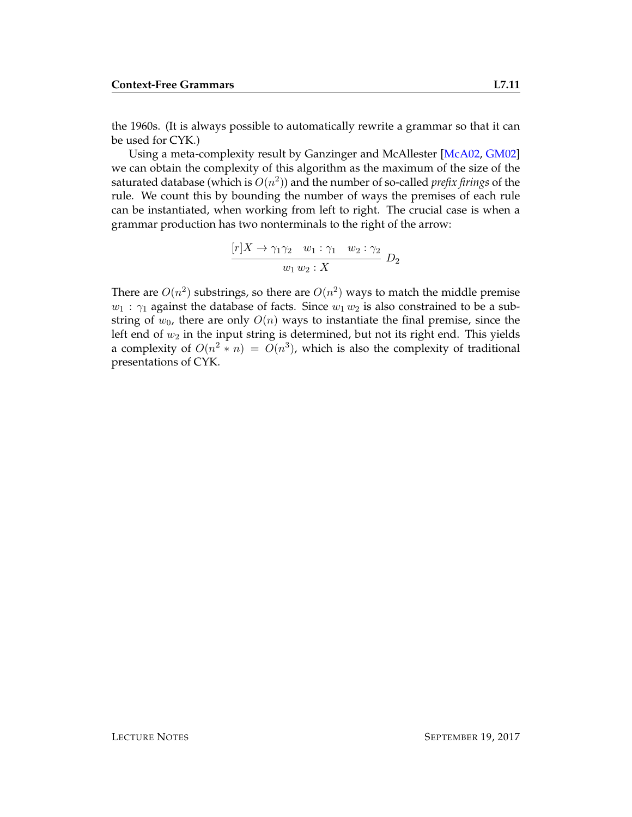the 1960s. (It is always possible to automatically rewrite a grammar so that it can be used for CYK.)

Using a meta-complexity result by Ganzinger and McAllester [\[McA02,](#page-11-3) [GM02\]](#page-11-4) we can obtain the complexity of this algorithm as the maximum of the size of the saturated database (which is  $O(n^2)$ ) and the number of so-called *prefix firings* of the rule. We count this by bounding the number of ways the premises of each rule can be instantiated, when working from left to right. The crucial case is when a grammar production has two nonterminals to the right of the arrow:

$$
\frac{[r]X \to \gamma_1 \gamma_2 \quad w_1 : \gamma_1 \quad w_2 : \gamma_2}{w_1 w_2 : X} D_2
$$

There are  $O(n^2)$  substrings, so there are  $O(n^2)$  ways to match the middle premise  $w_1$ :  $\gamma_1$  against the database of facts. Since  $w_1 w_2$  is also constrained to be a substring of  $w_0$ , there are only  $O(n)$  ways to instantiate the final premise, since the left end of  $w_2$  in the input string is determined, but not its right end. This yields a complexity of  $O(n^2 * n) = O(n^3)$ , which is also the complexity of traditional presentations of CYK.